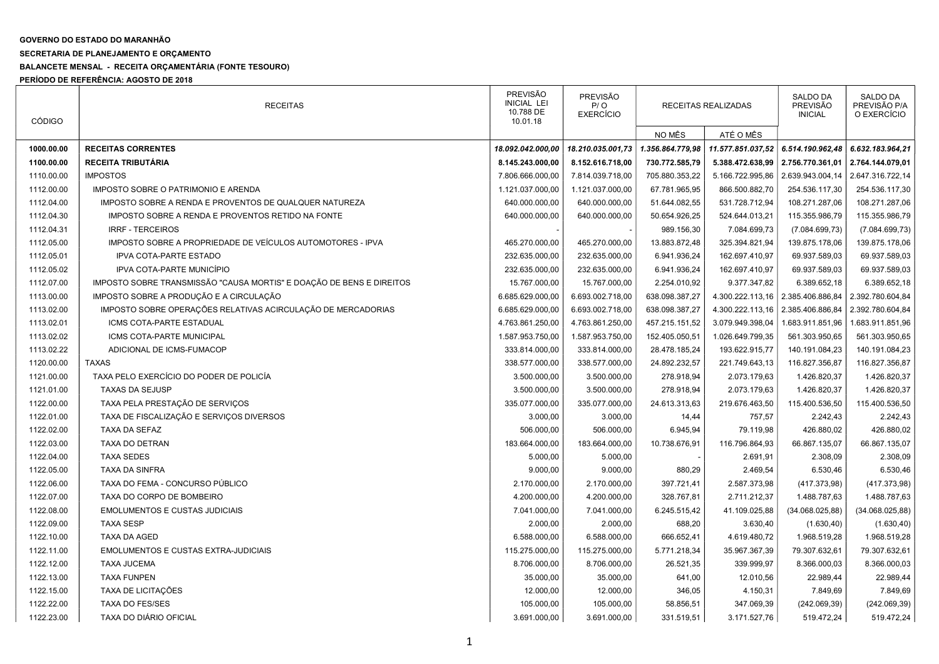## GOVERNO DO ESTADO DO MARANHÃO

## SECRETARIA DE PLANEJAMENTO E ORÇAMENTO

## BALANCETE MENSAL - RECEITA ORÇAMENTÁRIA (FONTE TESOURO)

PERÍODO DE REFERÊNCIA: AGOSTO DE 2018

| <b>CÓDIGO</b> | <b>RECEITAS</b>                                                      | <b>PREVISÃO</b><br><b>INICIAL LEI</b><br>10.788 DE<br>10.01.18 | <b>PREVISÃO</b><br>P/O<br><b>EXERCÍCIO</b> | RECEITAS REALIZADAS |                   | <b>SALDO DA</b><br><b>PREVISÃO</b><br><b>INICIAL</b> | SALDO DA<br>PREVISÃO P/A<br>O EXERCÍCIO |
|---------------|----------------------------------------------------------------------|----------------------------------------------------------------|--------------------------------------------|---------------------|-------------------|------------------------------------------------------|-----------------------------------------|
|               |                                                                      |                                                                |                                            | NO MÊS              | ATÉ O MÊS         |                                                      |                                         |
| 1000.00.00    | <b>RECEITAS CORRENTES</b>                                            | 18.092.042.000,00                                              | 18.210.035.001,73                          | 1.356.864.779,98    | 11.577.851.037,52 | 6.514.190.962,48                                     | 6.632.183.964,21                        |
| 1100.00.00    | <b>RECEITA TRIBUTÁRIA</b>                                            | 8.145.243.000,00                                               | 8.152.616.718,00                           | 730.772.585,79      | 5.388.472.638,99  | 2.756.770.361,01                                     | 2.764.144.079,01                        |
| 1110.00.00    | <b>IMPOSTOS</b>                                                      | 7.806.666.000,00                                               | 7.814.039.718,00                           | 705.880.353,22      | 5.166.722.995,86  | 2.639.943.004,14                                     | 2.647.316.722,14                        |
| 1112.00.00    | IMPOSTO SOBRE O PATRIMONIO E ARENDA                                  | 1.121.037.000,00                                               | 1.121.037.000,00                           | 67.781.965,95       | 866.500.882,70    | 254.536.117,30                                       | 254.536.117,30                          |
| 1112.04.00    | IMPOSTO SOBRE A RENDA E PROVENTOS DE QUALQUER NATUREZA               | 640.000.000,00                                                 | 640.000.000,00                             | 51.644.082,55       | 531.728.712,94    | 108.271.287,06                                       | 108.271.287,06                          |
| 1112.04.30    | IMPOSTO SOBRE A RENDA E PROVENTOS RETIDO NA FONTE                    | 640.000.000.00                                                 | 640.000.000,00                             | 50.654.926,25       | 524.644.013,21    | 115.355.986,79                                       | 115.355.986,79                          |
| 1112.04.31    | <b>IRRF - TERCEIROS</b>                                              |                                                                |                                            | 989.156,30          | 7.084.699,73      | (7.084.699, 73)                                      | (7.084.699, 73)                         |
| 1112.05.00    | IMPOSTO SOBRE A PROPRIEDADE DE VEÍCULOS AUTOMOTORES - IPVA           | 465.270.000,00                                                 | 465.270.000,00                             | 13.883.872,48       | 325.394.821,94    | 139.875.178,06                                       | 139.875.178,06                          |
| 1112.05.01    | IPVA COTA-PARTE ESTADO                                               | 232.635.000,00                                                 | 232.635.000,00                             | 6.941.936,24        | 162.697.410,97    | 69.937.589,03                                        | 69.937.589,03                           |
| 1112.05.02    | IPVA COTA-PARTE MUNICÍPIO                                            | 232.635.000,00                                                 | 232.635.000,00                             | 6.941.936,24        | 162.697.410,97    | 69.937.589,03                                        | 69.937.589,03                           |
| 1112.07.00    | IMPOSTO SOBRE TRANSMISSÃO "CAUSA MORTIS" E DOAÇÃO DE BENS E DIREITOS | 15.767.000,00                                                  | 15.767.000,00                              | 2.254.010,92        | 9.377.347,82      | 6.389.652,18                                         | 6.389.652,18                            |
| 1113.00.00    | IMPOSTO SOBRE A PRODUÇÃO E A CIRCULAÇÃO                              | 6.685.629.000,00                                               | 6.693.002.718,00                           | 638.098.387,27      | 4.300.222.113,16  | 2.385.406.886,84                                     | 2.392.780.604,84                        |
| 1113.02.00    | IMPOSTO SOBRE OPERAÇÕES RELATIVAS ACIRCULAÇÃO DE MERCADORIAS         | 6.685.629.000,00                                               | 6.693.002.718,00                           | 638.098.387,27      | 4.300.222.113,16  | 2.385.406.886,84                                     | 2.392.780.604,84                        |
| 1113.02.01    | ICMS COTA-PARTE ESTADUAL                                             | 4.763.861.250,00                                               | 4.763.861.250,00                           | 457.215.151,52      | 3.079.949.398,04  | 1.683.911.851,96                                     | 1.683.911.851,96                        |
| 1113.02.02    | ICMS COTA-PARTE MUNICIPAL                                            | 1.587.953.750,00                                               | 1.587.953.750,00                           | 152.405.050,51      | 1.026.649.799,35  | 561.303.950,65                                       | 561.303.950,65                          |
| 1113.02.22    | ADICIONAL DE ICMS-FUMACOP                                            | 333.814.000,00                                                 | 333.814.000,00                             | 28.478.185,24       | 193.622.915,77    | 140.191.084,23                                       | 140.191.084,23                          |
| 1120.00.00    | <b>TAXAS</b>                                                         | 338.577.000,00                                                 | 338.577.000,00                             | 24.892.232,57       | 221.749.643,13    | 116.827.356,87                                       | 116.827.356,87                          |
| 1121.00.00    | TAXA PELO EXERCÍCIO DO PODER DE POLICÍA                              | 3.500.000,00                                                   | 3.500.000,00                               | 278.918,94          | 2.073.179,63      | 1.426.820,37                                         | 1.426.820,37                            |
| 1121.01.00    | <b>TAXAS DA SEJUSP</b>                                               | 3.500.000,00                                                   | 3.500.000,00                               | 278.918,94          | 2.073.179,63      | 1.426.820,37                                         | 1.426.820,37                            |
| 1122.00.00    | TAXA PELA PRESTAÇÃO DE SERVIÇOS                                      | 335.077.000,00                                                 | 335.077.000,00                             | 24.613.313,63       | 219.676.463,50    | 115.400.536,50                                       | 115.400.536,50                          |
| 1122.01.00    | TAXA DE FISCALIZAÇÃO E SERVIÇOS DIVERSOS                             | 3.000,00                                                       | 3.000,00                                   | 14,44               | 757,57            | 2.242,43                                             | 2.242,43                                |
| 1122.02.00    | <b>TAXA DA SEFAZ</b>                                                 | 506.000,00                                                     | 506.000,00                                 | 6.945,94            | 79.119,98         | 426.880,02                                           | 426.880,02                              |
| 1122.03.00    | <b>TAXA DO DETRAN</b>                                                | 183.664.000,00                                                 | 183.664.000,00                             | 10.738.676,91       | 116.796.864,93    | 66.867.135,07                                        | 66.867.135,07                           |
| 1122.04.00    | <b>TAXA SEDES</b>                                                    | 5.000,00                                                       | 5.000,00                                   |                     | 2.691,91          | 2.308,09                                             | 2.308,09                                |
| 1122.05.00    | TAXA DA SINFRA                                                       | 9.000,00                                                       | 9.000,00                                   | 880,29              | 2.469,54          | 6.530,46                                             | 6.530,46                                |
| 1122.06.00    | TAXA DO FEMA - CONCURSO PÚBLICO                                      | 2.170.000,00                                                   | 2.170.000,00                               | 397.721,41          | 2.587.373,98      | (417.373,98)                                         | (417.373,98)                            |
| 1122.07.00    | TAXA DO CORPO DE BOMBEIRO                                            | 4.200.000,00                                                   | 4.200.000,00                               | 328.767,81          | 2.711.212,37      | 1.488.787,63                                         | 1.488.787,63                            |
| 1122.08.00    | <b>EMOLUMENTOS E CUSTAS JUDICIAIS</b>                                | 7.041.000,00                                                   | 7.041.000,00                               | 6.245.515,42        | 41.109.025,88     | (34.068.025, 88)                                     | (34.068.025, 88)                        |
| 1122.09.00    | <b>TAXA SESP</b>                                                     | 2.000,00                                                       | 2.000,00                                   | 688,20              | 3.630,40          | (1.630, 40)                                          | (1.630, 40)                             |
| 1122.10.00    | <b>TAXA DA AGED</b>                                                  | 6.588.000,00                                                   | 6.588.000,00                               | 666.652,41          | 4.619.480,72      | 1.968.519,28                                         | 1.968.519,28                            |
| 1122.11.00    | <b>EMOLUMENTOS E CUSTAS EXTRA-JUDICIAIS</b>                          | 115.275.000,00                                                 | 115.275.000,00                             | 5.771.218,34        | 35.967.367,39     | 79.307.632,61                                        | 79.307.632,61                           |
| 1122.12.00    | <b>TAXA JUCEMA</b>                                                   | 8.706.000,00                                                   | 8.706.000,00                               | 26.521,35           | 339.999,97        | 8.366.000,03                                         | 8.366.000,03                            |
| 1122.13.00    | <b>TAXA FUNPEN</b>                                                   | 35.000,00                                                      | 35.000,00                                  | 641,00              | 12.010,56         | 22.989,44                                            | 22.989,44                               |
| 1122.15.00    | TAXA DE LICITAÇÕES                                                   | 12.000,00                                                      | 12.000,00                                  | 346,05              | 4.150,31          | 7.849,69                                             | 7.849,69                                |
| 1122.22.00    | <b>TAXA DO FES/SES</b>                                               | 105.000,00                                                     | 105.000,00                                 | 58.856,51           | 347.069,39        | (242.069,39)                                         | (242.069, 39)                           |
| 1122.23.00    | TAXA DO DIÁRIO OFICIAL                                               | 3.691.000,00                                                   | 3.691.000,00                               | 331.519,51          | 3.171.527,76      | 519.472,24                                           | 519.472,24                              |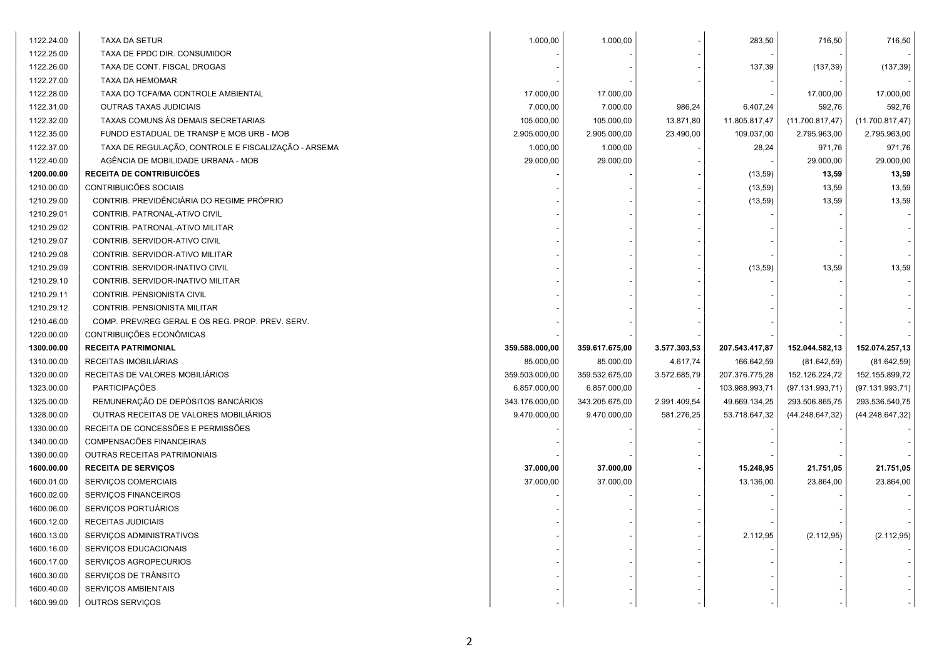| 1122.24.00 | TAXA DA SETUR                                       | 1.000,00       | 1.000,00       |              | 283,50         | 716,50           | 716,50           |
|------------|-----------------------------------------------------|----------------|----------------|--------------|----------------|------------------|------------------|
| 1122.25.00 | TAXA DE FPDC DIR. CONSUMIDOR                        |                |                |              |                |                  |                  |
| 1122.26.00 | TAXA DE CONT. FISCAL DROGAS                         |                |                |              | 137,39         | (137, 39)        | (137, 39)        |
| 1122.27.00 | TAXA DA HEMOMAR                                     |                |                |              |                |                  |                  |
| 1122.28.00 | TAXA DO TCFA/MA CONTROLE AMBIENTAL                  | 17.000,00      | 17.000,00      |              |                | 17.000,00        | 17.000,00        |
| 1122.31.00 | OUTRAS TAXAS JUDICIAIS                              | 7.000,00       | 7.000,00       | 986,24       | 6.407,24       | 592,76           | 592,76           |
| 1122.32.00 | TAXAS COMUNS ÀS DEMAIS SECRETARIAS                  | 105.000,00     | 105.000,00     | 13.871,80    | 11.805.817,47  | (11.700.817, 47) | (11.700.817, 47) |
| 1122.35.00 | FUNDO ESTADUAL DE TRANSP E MOB URB - MOB            | 2.905.000,00   | 2.905.000,00   | 23.490,00    | 109.037,00     | 2.795.963,00     | 2.795.963,00     |
| 1122.37.00 | TAXA DE REGULAÇÃO, CONTROLE E FISCALIZAÇÃO - ARSEMA | 1.000,00       | 1.000,00       |              | 28,24          | 971,76           | 971,76           |
| 1122.40.00 | AGÊNCIA DE MOBILIDADE URBANA - MOB                  | 29.000,00      | 29.000,00      |              |                | 29.000,00        | 29.000,00        |
| 1200.00.00 | <b>RECEITA DE CONTRIBUICÕES</b>                     |                |                |              | (13, 59)       | 13,59            | 13,59            |
| 1210.00.00 | CONTRIBUICÕES SOCIAIS                               |                |                |              | (13,59)        | 13,59            | 13,59            |
| 1210.29.00 | CONTRIB. PREVIDÊNCIÁRIA DO REGIME PRÓPRIO           |                |                |              | (13, 59)       | 13,59            | 13,59            |
| 1210.29.01 | CONTRIB. PATRONAL-ATIVO CIVIL                       |                |                |              |                |                  |                  |
| 1210.29.02 | CONTRIB. PATRONAL-ATIVO MILITAR                     |                |                |              |                |                  |                  |
| 1210.29.07 | CONTRIB. SERVIDOR-ATIVO CIVIL                       |                |                |              |                |                  |                  |
| 1210.29.08 | CONTRIB. SERVIDOR-ATIVO MILITAR                     |                |                |              |                |                  |                  |
| 1210.29.09 | CONTRIB. SERVIDOR-INATIVO CIVIL                     |                |                |              | (13, 59)       | 13,59            | 13,59            |
| 1210.29.10 | CONTRIB. SERVIDOR-INATIVO MILITAR                   |                |                |              |                |                  |                  |
| 1210.29.11 | CONTRIB. PENSIONISTA CIVIL                          |                |                |              |                |                  |                  |
| 1210.29.12 | CONTRIB. PENSIONISTA MILITAR                        |                |                |              |                |                  |                  |
| 1210.46.00 | COMP. PREV/REG GERAL E OS REG. PROP. PREV. SERV.    |                |                |              |                |                  |                  |
| 1220.00.00 | CONTRIBUIÇÕES ECONÔMICAS                            |                |                |              |                |                  |                  |
| 1300.00.00 | <b>RECEITA PATRIMONIAL</b>                          | 359.588.000,00 | 359.617.675,00 | 3.577.303,53 | 207.543.417,87 | 152.044.582,13   | 152.074.257,13   |
| 1310.00.00 | RECEITAS IMOBILIÁRIAS                               | 85.000,00      | 85.000,00      | 4.617,74     | 166.642,59     | (81.642, 59)     | (81.642, 59)     |
| 1320.00.00 | RECEITAS DE VALORES MOBILIÁRIOS                     | 359.503.000,00 | 359.532.675,00 | 3.572.685,79 | 207.376.775,28 | 152.126.224,72   | 152.155.899,72   |
| 1323.00.00 | PARTICIPAÇÕES                                       | 6.857.000,00   | 6.857.000,00   |              | 103.988.993,71 | (97.131.993,71)  | (97.131.993,71)  |
| 1325.00.00 | REMUNERAÇÃO DE DEPÓSITOS BANCÁRIOS                  | 343.176.000,00 | 343.205.675,00 | 2.991.409,54 | 49.669.134,25  | 293.506.865,75   | 293.536.540,75   |
| 1328.00.00 | OUTRAS RECEITAS DE VALORES MOBILIÁRIOS              | 9.470.000,00   | 9.470.000,00   | 581.276,25   | 53.718.647,32  | (44.248.647, 32) | (44.248.647, 32) |
| 1330.00.00 | RECEITA DE CONCESSÕES E PERMISSÕES                  |                |                |              |                |                  |                  |
| 1340.00.00 | COMPENSACÕES FINANCEIRAS                            |                |                |              |                |                  |                  |
| 1390.00.00 | OUTRAS RECEITAS PATRIMONIAIS                        |                |                |              |                |                  |                  |
| 1600.00.00 | <b>RECEITA DE SERVIÇOS</b>                          | 37.000,00      | 37.000,00      |              | 15.248,95      | 21.751,05        | 21.751,05        |
| 1600.01.00 | SERVIÇOS COMERCIAIS                                 | 37.000,00      | 37.000,00      |              | 13.136,00      | 23.864,00        | 23.864,00        |
| 1600.02.00 | SERVIÇOS FINANCEIROS                                |                |                |              |                |                  |                  |
| 1600.06.00 | SERVIÇOS PORTUÁRIOS                                 |                |                |              |                |                  |                  |
| 1600.12.00 | RECEITAS JUDICIAIS                                  |                |                |              |                |                  |                  |
| 1600.13.00 | SERVIÇOS ADMINISTRATIVOS                            |                |                |              | 2.112,95       | (2.112, 95)      | (2.112, 95)      |
| 1600.16.00 | SERVIÇOS EDUCACIONAIS                               |                |                |              |                |                  |                  |
|            |                                                     |                |                |              |                |                  |                  |
| 1600.17.00 | SERVIÇOS AGROPECURIOS                               |                |                |              |                |                  |                  |
| 1600.30.00 | SERVIÇOS DE TRÂNSITO                                |                |                |              |                |                  |                  |
| 1600.40.00 | SERVIÇOS AMBIENTAIS                                 |                |                |              |                |                  |                  |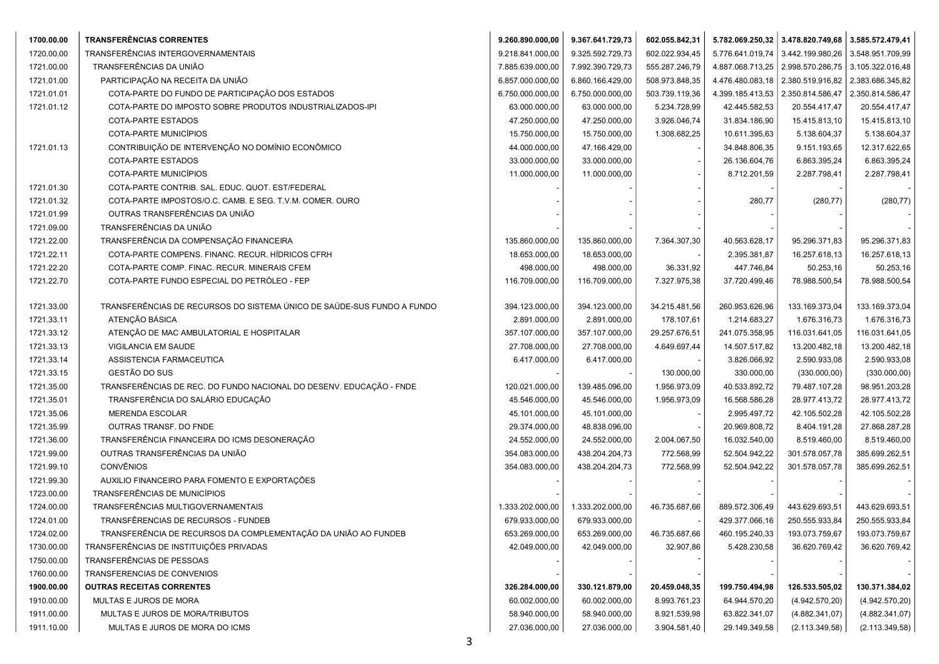| 1700.00.00 | <b>TRANSFERÊNCIAS CORRENTES</b>                                        | 9.260.890.000,00 | 9.367.641.729,73 | 602.055.842,31 |                  | 5.782.069.250,32 3.478.820.749,68 3.585.572.479,41 |                  |
|------------|------------------------------------------------------------------------|------------------|------------------|----------------|------------------|----------------------------------------------------|------------------|
| 1720.00.00 | TRANSFERÊNCIAS INTERGOVERNAMENTAIS                                     | 9.218.841.000,00 | 9.325.592.729,73 | 602.022.934,45 | 5.776.641.019,74 | 3.442.199.980,26                                   | 3.548.951.709,99 |
| 1721.00.00 | TRANSFERÊNCIAS DA UNIÃO                                                | 7.885.639.000,00 | 7.992.390.729,73 | 555.287.246,79 | 4.887.068.713,25 | 2.998.570.286,75                                   | 3.105.322.016,48 |
| 1721.01.00 | PARTICIPAÇÃO NA RECEITA DA UNIÃO                                       | 6.857.000.000,00 | 6.860.166.429,00 | 508.973.848,35 | 4.476.480.083,18 | 2.380.519.916,82                                   | 2.383.686.345,82 |
| 1721.01.01 | COTA-PARTE DO FUNDO DE PARTICIPAÇÃO DOS ESTADOS                        | 6.750.000.000,00 | 6.750.000.000,00 | 503.739.119,36 | 4.399.185.413,53 | 2.350.814.586,47                                   | 2.350.814.586,47 |
| 1721.01.12 | COTA-PARTE DO IMPOSTO SOBRE PRODUTOS INDUSTRIALIZADOS-IPI              | 63.000.000,00    | 63.000.000,00    | 5.234.728,99   | 42.445.582,53    | 20.554.417,47                                      | 20.554.417,47    |
|            | COTA-PARTE ESTADOS                                                     | 47.250.000,00    | 47.250.000,00    | 3.926.046,74   | 31.834.186,90    | 15.415.813,10                                      | 15.415.813,10    |
|            | COTA-PARTE MUNICÍPIOS                                                  | 15.750.000,00    | 15.750.000,00    | 1.308.682,25   | 10.611.395,63    | 5.138.604,37                                       | 5.138.604,37     |
| 1721.01.13 | CONTRIBUIÇÃO DE INTERVENÇÃO NO DOMÍNIO ECONÔMICO                       | 44.000.000,00    | 47.166.429,00    |                | 34.848.806,35    | 9.151.193,65                                       | 12.317.622,65    |
|            | COTA-PARTE ESTADOS                                                     | 33.000.000,00    | 33.000.000,00    |                | 26.136.604,76    | 6.863.395,24                                       | 6.863.395,24     |
|            | COTA-PARTE MUNICÍPIOS                                                  | 11.000.000,00    | 11.000.000,00    |                | 8.712.201,59     | 2.287.798,41                                       | 2.287.798,41     |
| 1721.01.30 | COTA-PARTE CONTRIB. SAL. EDUC. QUOT. EST/FEDERAL                       |                  |                  |                |                  |                                                    |                  |
| 1721.01.32 | COTA-PARTE IMPOSTOS/O.C. CAMB. E SEG. T.V.M. COMER. OURO               |                  |                  |                | 280,77           | (280, 77)                                          | (280, 77)        |
| 1721.01.99 | OUTRAS TRANSFERÊNCIAS DA UNIÃO                                         |                  |                  |                |                  |                                                    |                  |
| 1721.09.00 | TRANSFERÊNCIAS DA UNIÃO                                                |                  |                  |                |                  |                                                    |                  |
| 1721.22.00 | TRANSFERÊNCIA DA COMPENSAÇÃO FINANCEIRA                                | 135.860.000,00   | 135.860.000,00   | 7.364.307,30   | 40.563.628,17    | 95.296.371,83                                      | 95.296.371,83    |
| 1721.22.11 | COTA-PARTE COMPENS. FINANC. RECUR. HÍDRICOS CFRH                       | 18.653.000,00    | 18.653.000,00    |                | 2.395.381,87     | 16.257.618,13                                      | 16.257.618,13    |
| 1721.22.20 | COTA-PARTE COMP. FINAC. RECUR. MINERAIS CFEM                           | 498.000,00       | 498.000,00       | 36.331,92      | 447.746,84       | 50.253,16                                          | 50.253,16        |
| 1721.22.70 | COTA-PARTE FUNDO ESPECIAL DO PETRÓLEO - FEP                            | 116.709.000,00   | 116.709.000,00   | 7.327.975,38   | 37.720.499,46    | 78.988.500,54                                      | 78.988.500,54    |
|            |                                                                        |                  |                  |                |                  |                                                    |                  |
| 1721.33.00 | TRANSFERÊNCIAS DE RECURSOS DO SISTEMA ÚNICO DE SAÚDE-SUS FUNDO A FUNDO | 394.123.000,00   | 394.123.000,00   | 34.215.481,56  | 260.953.626,96   | 133.169.373,04                                     | 133.169.373,04   |
| 1721.33.11 | ATENÇÃO BÁSICA                                                         | 2.891.000,00     | 2.891.000,00     | 178.107,61     | 1.214.683,27     | 1.676.316,73                                       | 1.676.316,73     |
| 1721.33.12 | ATENÇÃO DE MAC AMBULATORIAL E HOSPITALAR                               | 357.107.000,00   | 357.107.000,00   | 29.257.676,51  | 241.075.358,95   | 116.031.641,05                                     | 116.031.641,05   |
| 1721.33.13 | VIGILANCIA EM SAUDE                                                    | 27.708.000,00    | 27.708.000,00    | 4.649.697,44   | 14.507.517,82    | 13.200.482,18                                      | 13.200.482,18    |
| 1721.33.14 | ASSISTENCIA FARMACEUTICA                                               | 6.417.000,00     | 6.417.000,00     |                | 3.826.066,92     | 2.590.933,08                                       | 2.590.933,08     |
| 1721.33.15 | GESTÃO DO SUS                                                          |                  |                  | 130.000,00     | 330.000,00       | (330.000, 00)                                      | (330.000, 00)    |
| 1721.35.00 | TRANSFERÊNCIAS DE REC. DO FUNDO NACIONAL DO DESENV. EDUCAÇÃO - FNDE    | 120.021.000,00   | 139.485.096,00   | 1.956.973,09   | 40.533.892,72    | 79.487.107,28                                      | 98.951.203,28    |
| 1721.35.01 | TRANSFERÊNCIA DO SALÁRIO EDUCAÇÃO                                      | 45.546.000,00    | 45.546.000,00    | 1.956.973,09   | 16.568.586,28    | 28.977.413,72                                      | 28.977.413,72    |
| 1721.35.06 | <b>MERENDA ESCOLAR</b>                                                 | 45.101.000,00    | 45.101.000,00    |                | 2.995.497,72     | 42.105.502,28                                      | 42.105.502,28    |
| 1721.35.99 | OUTRAS TRANSF. DO FNDE                                                 | 29.374.000,00    | 48.838.096,00    |                | 20.969.808,72    | 8.404.191,28                                       | 27.868.287,28    |
| 1721.36.00 | TRANSFERÊNCIA FINANCEIRA DO ICMS DESONERAÇÃO                           | 24.552.000,00    | 24.552.000,00    | 2.004.067,50   | 16.032.540,00    | 8.519.460,00                                       | 8.519.460,00     |
| 1721.99.00 | OUTRAS TRANSFERÊNCIAS DA UNIÃO                                         | 354.083.000,00   | 438.204.204,73   | 772.568,99     | 52.504.942,22    | 301.578.057,78                                     | 385.699.262,51   |
| 1721.99.10 | <b>CONVÊNIOS</b>                                                       | 354.083.000,00   | 438.204.204,73   | 772.568,99     | 52.504.942,22    | 301.578.057,78                                     | 385.699.262,51   |
| 1721.99.30 | AUXILIO FINANCEIRO PARA FOMENTO E EXPORTAÇÕES                          |                  |                  |                |                  |                                                    |                  |
| 1723.00.00 | TRANSFERÊNCIAS DE MUNICÍPIOS                                           |                  |                  |                |                  |                                                    |                  |
| 1724.00.00 | TRANSFERÊNCIAS MULTIGOVERNAMENTAIS                                     | 1.333.202.000,00 | 1.333.202.000,00 | 46.735.687,66  | 889.572.306,49   | 443.629.693,51                                     | 443.629.693,51   |
| 1724.01.00 | TRANSFÊRENCIAS DE RECURSOS - FUNDEB                                    | 679.933.000,00   | 679.933.000,00   |                | 429.377.066,16   | 250.555.933,84                                     | 250.555.933,84   |
| 1724.02.00 | TRANSFERÊNCIA DE RECURSOS DA COMPLEMENTAÇÃO DA UNIÃO AO FUNDEB         | 653.269.000,00   | 653.269.000,00   | 46.735.687,66  | 460.195.240,33   | 193.073.759,67                                     | 193.073.759,67   |
| 1730.00.00 | TRANSFERÊNCIAS DE INSTITUIÇÕES PRIVADAS                                | 42.049.000,00    | 42.049.000,00    | 32.907,86      | 5.428.230,58     | 36.620.769,42                                      | 36.620.769,42    |
| 1750.00.00 | TRANSFERÊNCIAS DE PESSOAS                                              |                  |                  |                |                  |                                                    |                  |
| 1760.00.00 | TRANSFERENCIAS DE CONVENIOS                                            |                  |                  |                |                  |                                                    |                  |
| 1900.00.00 | <b>OUTRAS RECEITAS CORRENTES</b>                                       | 326.284.000,00   | 330.121.879,00   | 20.459.048,35  | 199.750.494,98   | 126.533.505,02                                     | 130.371.384,02   |
| 1910.00.00 | MULTAS E JUROS DE MORA                                                 | 60.002.000,00    | 60.002.000,00    | 8.993.761,23   | 64.944.570,20    | (4.942.570, 20)                                    | (4.942.570,20)   |
| 1911.00.00 | MULTAS E JUROS DE MORA/TRIBUTOS                                        | 58.940.000,00    | 58.940.000,00    | 8.921.539,98   | 63.822.341,07    | (4.882.341,07)                                     | (4.882.341,07)   |
| 1911.10.00 | MULTAS E JUROS DE MORA DO ICMS                                         | 27.036.000,00    | 27.036.000,00    | 3.904.581,40   | 29.149.349,58    | (2.113.349.58)                                     | (2.113.349.58)   |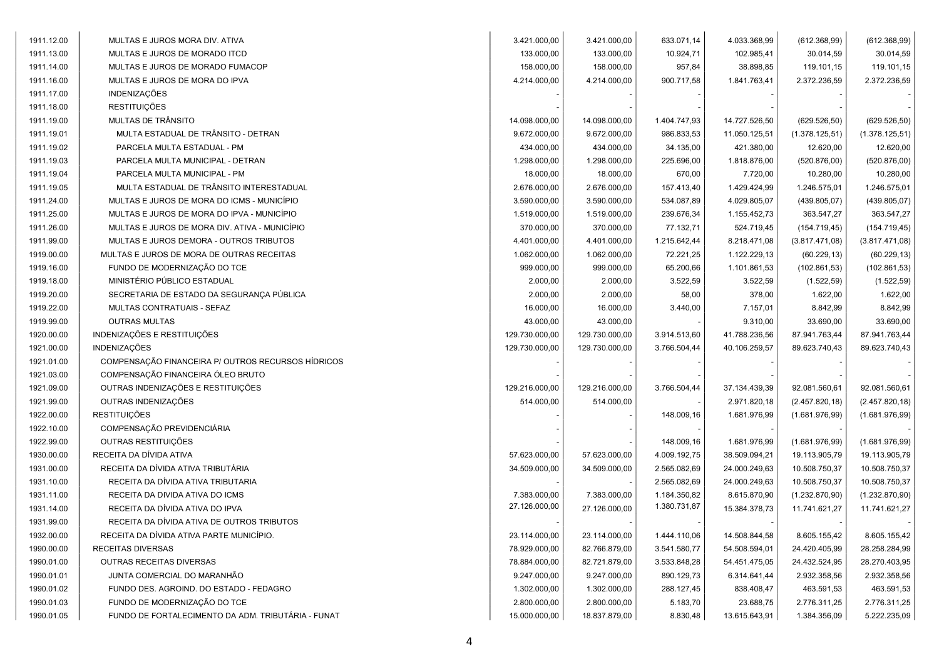| 1911.12.00 | MULTAS E JUROS MORA DIV. ATIVA                     | 3.421.000,00   | 3.421.000,00   | 633.071,14   | 4.033.368,99  | (612.368,99)    | (612.368,99)    |
|------------|----------------------------------------------------|----------------|----------------|--------------|---------------|-----------------|-----------------|
| 1911.13.00 | MULTAS E JUROS DE MORADO ITCD                      | 133.000,00     | 133.000,00     | 10.924,71    | 102.985,41    | 30.014,59       | 30.014,59       |
| 1911.14.00 | MULTAS E JUROS DE MORADO FUMACOP                   | 158.000,00     | 158.000,00     | 957,84       | 38.898,85     | 119.101,15      | 119.101,15      |
| 1911.16.00 | MULTAS E JUROS DE MORA DO IPVA                     | 4.214.000,00   | 4.214.000,00   | 900.717,58   | 1.841.763,41  | 2.372.236,59    | 2.372.236,59    |
| 1911.17.00 | <b>INDENIZAÇÕES</b>                                |                |                |              |               |                 |                 |
| 1911.18.00 | <b>RESTITUIÇÕES</b>                                |                |                |              |               |                 |                 |
| 1911.19.00 | MULTAS DE TRÂNSITO                                 | 14.098.000,00  | 14.098.000,00  | 1.404.747,93 | 14.727.526,50 | (629.526, 50)   | (629.526, 50)   |
| 1911.19.01 | MULTA ESTADUAL DE TRÂNSITO - DETRAN                | 9.672.000,00   | 9.672.000,00   | 986.833,53   | 11.050.125,51 | (1.378.125, 51) | (1.378.125, 51) |
| 1911.19.02 | PARCELA MULTA ESTADUAL - PM                        | 434.000,00     | 434.000,00     | 34.135,00    | 421.380,00    | 12.620,00       | 12.620,00       |
| 1911.19.03 | PARCELA MULTA MUNICIPAL - DETRAN                   | 1.298.000,00   | 1.298.000,00   | 225.696,00   | 1.818.876,00  | (520.876,00)    | (520.876,00)    |
| 1911.19.04 | PARCELA MULTA MUNICIPAL - PM                       | 18.000,00      | 18.000,00      | 670,00       | 7.720,00      | 10.280,00       | 10.280,00       |
|            | MULTA ESTADUAL DE TRÂNSITO INTERESTADUAL           |                |                |              |               |                 |                 |
| 1911.19.05 |                                                    | 2.676.000,00   | 2.676.000,00   | 157.413,40   | 1.429.424,99  | 1.246.575,01    | 1.246.575,01    |
| 1911.24.00 | MULTAS E JUROS DE MORA DO ICMS - MUNICÍPIO         | 3.590.000,00   | 3.590.000,00   | 534.087,89   | 4.029.805,07  | (439.805,07)    | (439.805,07)    |
| 1911.25.00 | MULTAS E JUROS DE MORA DO IPVA - MUNICÍPIO         | 1.519.000,00   | 1.519.000,00   | 239.676,34   | 1.155.452,73  | 363.547,27      | 363.547,27      |
| 1911.26.00 | MULTAS E JUROS DE MORA DIV. ATIVA - MUNICÍPIO      | 370.000,00     | 370.000,00     | 77.132,71    | 524.719,45    | (154.719, 45)   | (154.719, 45)   |
| 1911.99.00 | MULTAS E JUROS DEMORA - OUTROS TRIBUTOS            | 4.401.000,00   | 4.401.000,00   | 1.215.642,44 | 8.218.471,08  | (3.817.471,08)  | (3.817.471,08)  |
| 1919.00.00 | MULTAS E JUROS DE MORA DE OUTRAS RECEITAS          | 1.062.000,00   | 1.062.000,00   | 72.221,25    | 1.122.229,13  | (60.229, 13)    | (60.229, 13)    |
| 1919.16.00 | FUNDO DE MODERNIZAÇÃO DO TCE                       | 999.000,00     | 999.000,00     | 65.200,66    | 1.101.861,53  | (102.861,53)    | (102.861, 53)   |
| 1919.18.00 | MINISTÉRIO PÚBLICO ESTADUAL                        | 2.000,00       | 2.000,00       | 3.522,59     | 3.522,59      | (1.522, 59)     | (1.522, 59)     |
| 1919.20.00 | SECRETARIA DE ESTADO DA SEGURANÇA PÚBLICA          | 2.000,00       | 2.000,00       | 58,00        | 378,00        | 1.622,00        | 1.622,00        |
| 1919.22.00 | MULTAS CONTRATUAIS - SEFAZ                         | 16.000,00      | 16.000,00      | 3.440,00     | 7.157,01      | 8.842,99        | 8.842,99        |
| 1919.99.00 | <b>OUTRAS MULTAS</b>                               | 43.000,00      | 43.000,00      |              | 9.310,00      | 33.690,00       | 33.690,00       |
| 1920.00.00 | INDENIZAÇÕES E RESTITUIÇÕES                        | 129.730.000,00 | 129.730.000,00 | 3.914.513,60 | 41.788.236,56 | 87.941.763,44   | 87.941.763,44   |
| 1921.00.00 | <b>INDENIZAÇÕES</b>                                | 129.730.000,00 | 129.730.000,00 | 3.766.504,44 | 40.106.259,57 | 89.623.740,43   | 89.623.740,43   |
| 1921.01.00 | COMPENSAÇÃO FINANCEIRA P/ OUTROS RECURSOS HÍDRICOS |                |                |              |               |                 |                 |
| 1921.03.00 | COMPENSAÇÃO FINANCEIRA ÓLEO BRUTO                  |                |                |              |               |                 |                 |
| 1921.09.00 | OUTRAS INDENIZAÇÕES E RESTITUIÇÕES                 | 129.216.000,00 | 129.216.000,00 | 3.766.504,44 | 37.134.439,39 | 92.081.560,61   | 92.081.560,61   |
| 1921.99.00 | OUTRAS INDENIZAÇÕES                                | 514.000,00     | 514.000,00     |              | 2.971.820,18  | (2.457.820, 18) | (2.457.820, 18) |
| 1922.00.00 | <b>RESTITUIÇÕES</b>                                |                |                | 148.009,16   | 1.681.976,99  | (1.681.976,99)  | (1.681.976,99)  |
| 1922.10.00 | COMPENSAÇÃO PREVIDENCIÁRIA                         |                |                |              |               |                 |                 |
| 1922.99.00 | OUTRAS RESTITUIÇÕES                                |                |                | 148.009,16   | 1.681.976,99  | (1.681.976,99)  | (1.681.976,99)  |
| 1930.00.00 | RECEITA DA DÍVIDA ATIVA                            | 57.623.000,00  | 57.623.000,00  | 4.009.192,75 | 38.509.094,21 | 19.113.905,79   | 19.113.905,79   |
| 1931.00.00 | RECEITA DA DÍVIDA ATIVA TRIBUTÁRIA                 | 34.509.000,00  | 34.509.000,00  | 2.565.082,69 | 24.000.249,63 | 10.508.750,37   | 10.508.750,37   |
| 1931.10.00 | RECEITA DA DÍVIDA ATIVA TRIBUTARIA                 |                |                | 2.565.082,69 | 24.000.249,63 | 10.508.750,37   | 10.508.750,37   |
| 1931.11.00 | RECEITA DA DIVIDA ATIVA DO ICMS                    | 7.383.000,00   | 7.383.000,00   | 1.184.350,82 | 8.615.870,90  | (1.232.870,90)  | (1.232.870,90)  |
| 1931.14.00 | RECEITA DA DÍVIDA ATIVA DO IPVA                    | 27.126.000,00  | 27.126.000,00  | 1.380.731,87 | 15.384.378,73 | 11.741.621,27   | 11.741.621,27   |
| 1931.99.00 | RECEITA DA DÍVIDA ATIVA DE OUTROS TRIBUTOS         |                |                |              |               |                 |                 |
| 1932.00.00 | RECEITA DA DÍVIDA ATIVA PARTE MUNICÍPIO.           | 23.114.000,00  | 23.114.000,00  | 1.444.110,06 | 14.508.844,58 | 8.605.155,42    | 8.605.155,42    |
| 1990.00.00 | RECEITAS DIVERSAS                                  | 78.929.000,00  | 82.766.879,00  | 3.541.580,77 | 54.508.594,01 | 24.420.405,99   | 28.258.284,99   |
| 1990.01.00 | <b>OUTRAS RECEITAS DIVERSAS</b>                    | 78.884.000,00  | 82.721.879,00  | 3.533.848,28 | 54.451.475,05 | 24.432.524,95   | 28.270.403,95   |
| 1990.01.01 | JUNTA COMERCIAL DO MARANHÃO                        | 9.247.000,00   | 9.247.000,00   | 890.129,73   | 6.314.641,44  | 2.932.358,56    | 2.932.358,56    |
| 1990.01.02 | FUNDO DES. AGROIND. DO ESTADO - FEDAGRO            | 1.302.000,00   | 1.302.000,00   | 288.127,45   | 838.408,47    | 463.591,53      | 463.591,53      |
| 1990.01.03 | FUNDO DE MODERNIZAÇÃO DO TCE                       | 2.800.000,00   | 2.800.000,00   | 5.183,70     | 23.688,75     | 2.776.311,25    | 2.776.311,25    |
| 1990.01.05 | FUNDO DE FORTALECIMENTO DA ADM. TRIBUTÁRIA - FUNAT | 15.000.000,00  | 18.837.879,00  | 8.830,48     | 13.615.643,91 | 1.384.356,09    | 5.222.235,09    |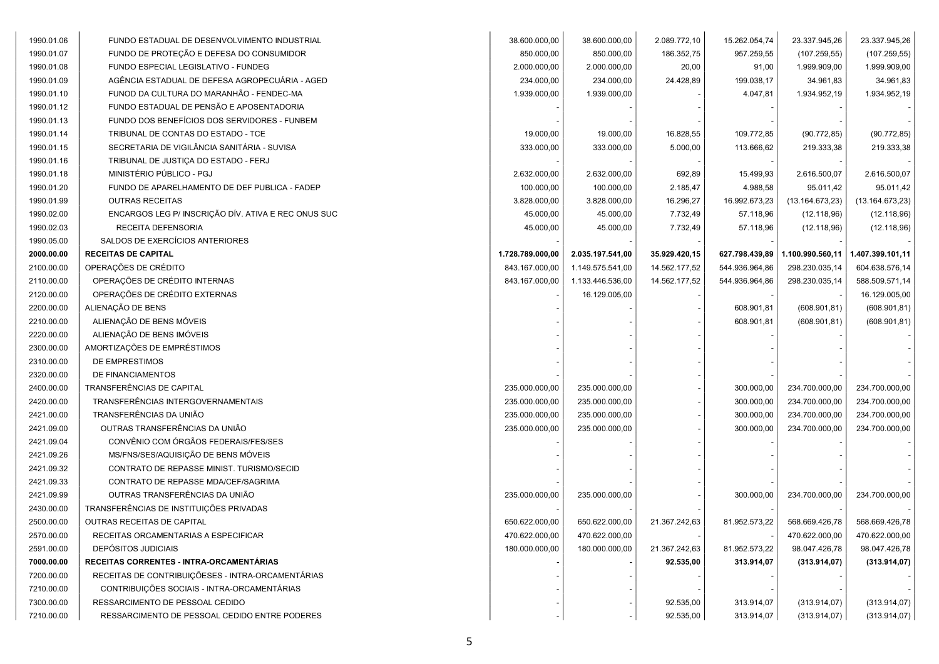| 1990.01.06 | FUNDO ESTADUAL DE DESENVOLVIMENTO INDUSTRIAL        | 38.600.000,00    | 38.600.000,00    | 2.089.772,10  | 15.262.054,74  | 23.337.945,26    | 23.337.945,26    |
|------------|-----------------------------------------------------|------------------|------------------|---------------|----------------|------------------|------------------|
| 1990.01.07 | FUNDO DE PROTEÇÃO E DEFESA DO CONSUMIDOR            | 850.000,00       | 850.000,00       | 186.352,75    | 957.259,55     | (107.259, 55)    | (107.259, 55)    |
| 1990.01.08 | FUNDO ESPECIAL LEGISLATIVO - FUNDEG                 | 2.000.000,00     | 2.000.000,00     | 20,00         | 91,00          | 1.999.909,00     | 1.999.909,00     |
| 1990.01.09 | AGÊNCIA ESTADUAL DE DEFESA AGROPECUÁRIA - AGED      | 234.000,00       | 234.000,00       | 24.428,89     | 199.038,17     | 34.961,83        | 34.961,83        |
| 1990.01.10 | FUNOD DA CULTURA DO MARANHÃO - FENDEC-MA            | 1.939.000,00     | 1.939.000,00     |               | 4.047,81       | 1.934.952,19     | 1.934.952,19     |
| 1990.01.12 | FUNDO ESTADUAL DE PENSÃO E APOSENTADORIA            |                  |                  |               |                |                  |                  |
| 1990.01.13 | FUNDO DOS BENEFÍCIOS DOS SERVIDORES - FUNBEM        |                  |                  |               |                |                  |                  |
| 1990.01.14 | TRIBUNAL DE CONTAS DO ESTADO - TCE                  | 19.000,00        | 19.000,00        | 16.828,55     | 109.772,85     | (90.772, 85)     | (90.772, 85)     |
| 1990.01.15 | SECRETARIA DE VIGILÂNCIA SANITÁRIA - SUVISA         | 333.000,00       | 333.000,00       | 5.000,00      | 113.666,62     | 219.333,38       | 219.333,38       |
| 1990.01.16 | TRIBUNAL DE JUSTIÇA DO ESTADO - FERJ                |                  |                  |               |                |                  |                  |
| 1990.01.18 | MINISTÉRIO PÚBLICO - PGJ                            | 2.632.000,00     | 2.632.000,00     | 692,89        | 15.499,93      | 2.616.500,07     | 2.616.500,07     |
| 1990.01.20 | FUNDO DE APARELHAMENTO DE DEF PUBLICA - FADEP       | 100.000,00       | 100.000,00       | 2.185,47      | 4.988,58       | 95.011,42        | 95.011,42        |
| 1990.01.99 | <b>OUTRAS RECEITAS</b>                              | 3.828.000,00     | 3.828.000,00     | 16.296,27     | 16.992.673,23  | (13.164.673,23)  | (13.164.673,23)  |
| 1990.02.00 | ENCARGOS LEG P/ INSCRIÇÃO DÍV. ATIVA E REC ONUS SUC | 45.000,00        | 45.000,00        | 7.732,49      | 57.118,96      | (12.118,96)      | (12.118,96)      |
| 1990.02.03 | RECEITA DEFENSORIA                                  | 45.000,00        | 45.000,00        | 7.732,49      | 57.118,96      | (12.118,96)      | (12.118,96)      |
| 1990.05.00 | SALDOS DE EXERCÍCIOS ANTERIORES                     |                  |                  |               |                |                  |                  |
| 2000.00.00 | <b>RECEITAS DE CAPITAL</b>                          | 1.728.789.000,00 | 2.035.197.541,00 | 35.929.420,15 | 627.798.439,89 | 1.100.990.560,11 | 1.407.399.101,11 |
| 2100.00.00 | OPERAÇÕES DE CRÉDITO                                | 843.167.000,00   | 1.149.575.541,00 | 14.562.177,52 | 544.936.964,86 | 298.230.035,14   | 604.638.576,14   |
| 2110.00.00 | OPERAÇÕES DE CRÉDITO INTERNAS                       | 843.167.000,00   | 1.133.446.536,00 | 14.562.177,52 | 544.936.964,86 | 298.230.035,14   | 588.509.571,14   |
| 2120.00.00 | OPERAÇÕES DE CRÉDITO EXTERNAS                       |                  | 16.129.005,00    |               |                |                  | 16.129.005,00    |
| 2200.00.00 | ALIENAÇÃO DE BENS                                   |                  |                  |               | 608.901,81     | (608.901, 81)    | (608.901, 81)    |
| 2210.00.00 | ALIENAÇÃO DE BENS MÓVEIS                            |                  |                  |               | 608.901,81     | (608.901, 81)    | (608.901, 81)    |
| 2220.00.00 | ALIENAÇÃO DE BENS IMÓVEIS                           |                  |                  |               |                |                  |                  |
| 2300.00.00 | AMORTIZAÇÕES DE EMPRÉSTIMOS                         |                  |                  |               |                |                  |                  |
| 2310.00.00 | DE EMPRESTIMOS                                      |                  |                  |               |                |                  |                  |
| 2320.00.00 | DE FINANCIAMENTOS                                   |                  |                  |               |                |                  |                  |
| 2400.00.00 | TRANSFERÊNCIAS DE CAPITAL                           | 235.000.000,00   | 235.000.000,00   |               | 300.000,00     | 234.700.000,00   | 234.700.000,00   |
| 2420.00.00 | TRANSFERÊNCIAS INTERGOVERNAMENTAIS                  | 235.000.000,00   | 235.000.000,00   |               | 300.000,00     | 234.700.000,00   | 234.700.000,00   |
| 2421.00.00 | TRANSFERÊNCIAS DA UNIÃO                             | 235.000.000,00   | 235.000.000,00   |               | 300.000,00     | 234.700.000,00   | 234.700.000,00   |
| 2421.09.00 | OUTRAS TRANSFERÊNCIAS DA UNIÃO                      | 235.000.000,00   | 235.000.000,00   |               | 300.000,00     | 234.700.000,00   | 234.700.000,00   |
| 2421.09.04 | CONVÊNIO COM ÓRGÃOS FEDERAIS/FES/SES                |                  |                  |               |                |                  |                  |
| 2421.09.26 | MS/FNS/SES/AQUISIÇÃO DE BENS MÓVEIS                 |                  |                  |               |                |                  |                  |
| 2421.09.32 | CONTRATO DE REPASSE MINIST. TURISMO/SECID           |                  |                  |               |                |                  |                  |
| 2421.09.33 | CONTRATO DE REPASSE MDA/CEF/SAGRIMA                 |                  |                  |               |                |                  |                  |
| 2421.09.99 | OUTRAS TRANSFERÊNCIAS DA UNIÃO                      | 235.000.000,00   | 235.000.000,00   |               | 300.000,00     | 234.700.000,00   | 234.700.000,00   |
| 2430.00.00 | TRANSFERÊNCIAS DE INSTITUIÇÕES PRIVADAS             |                  |                  |               |                |                  |                  |
| 2500.00.00 | OUTRAS RECEITAS DE CAPITAL                          | 650.622.000,00   | 650.622.000,00   | 21.367.242,63 | 81.952.573,22  | 568.669.426,78   | 568.669.426,78   |
| 2570.00.00 | RECEITAS ORCAMENTARIAS A ESPECIFICAR                | 470.622.000,00   | 470.622.000,00   |               |                | 470.622.000,00   | 470.622.000,00   |
| 2591.00.00 | <b>DEPÓSITOS JUDICIAIS</b>                          | 180.000.000,00   | 180.000.000,00   | 21.367.242,63 | 81.952.573,22  | 98.047.426,78    | 98.047.426,78    |
| 7000.00.00 | RECEITAS CORRENTES - INTRA-ORCAMENTÁRIAS            |                  |                  | 92.535,00     | 313.914,07     | (313.914, 07)    | (313.914, 07)    |
| 7200.00.00 | RECEITAS DE CONTRIBUIÇÕESES - INTRA-ORCAMENTÁRIAS   |                  |                  |               |                |                  |                  |
| 7210.00.00 | CONTRIBUIÇÕES SOCIAIS - INTRA-ORCAMENTÁRIAS         |                  |                  |               |                |                  |                  |
| 7300.00.00 | RESSARCIMENTO DE PESSOAL CEDIDO                     |                  |                  | 92.535,00     | 313.914,07     | (313.914,07)     | (313.914,07)     |
| 7210.00.00 | RESSARCIMENTO DE PESSOAL CEDIDO ENTRE PODERES       |                  |                  | 92.535,00     | 313.914,07     | (313.914,07)     | (313.914,07)     |